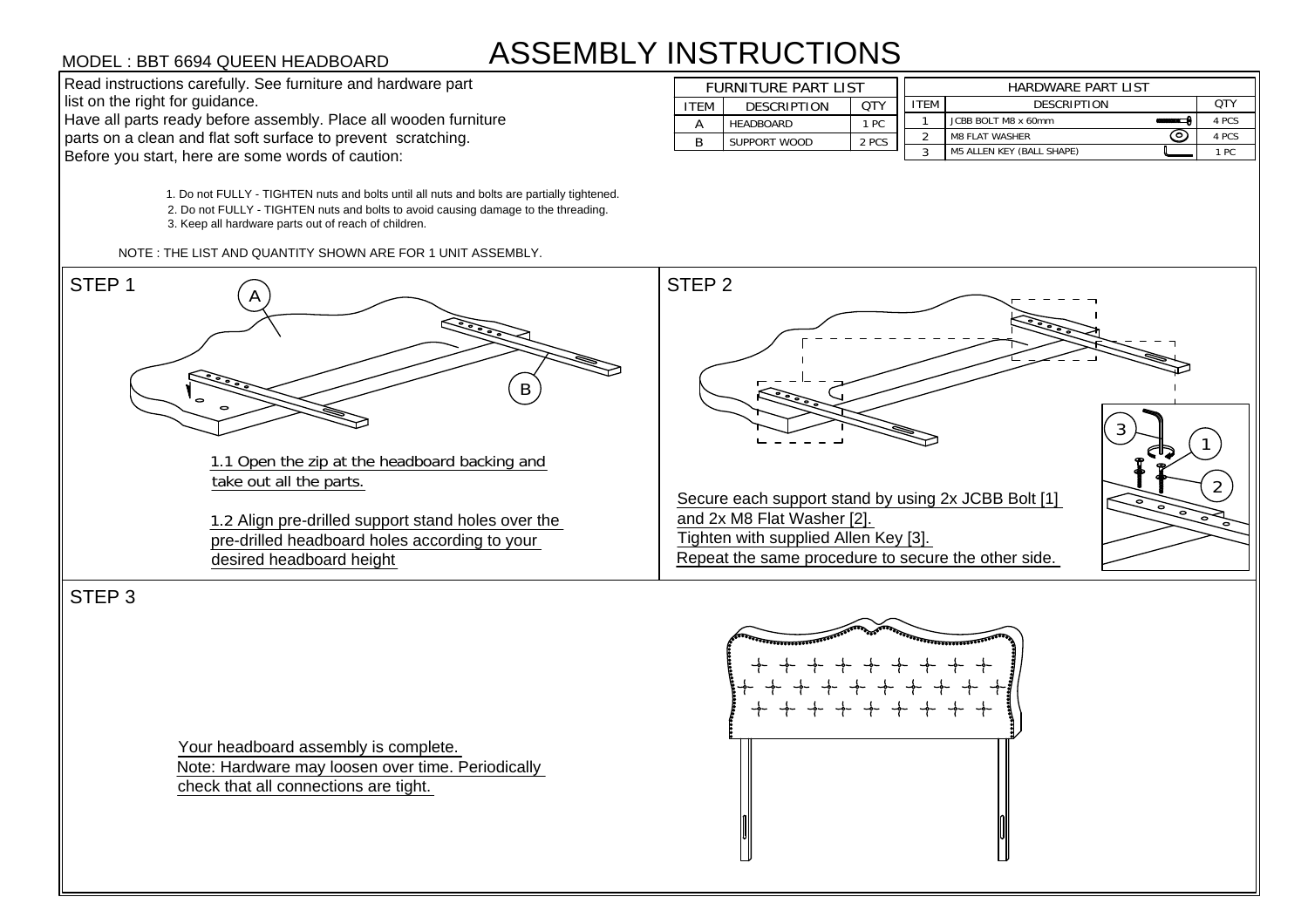## ASSEMBLY INSTRUCTIONS **STRUCTION!**<br>FURNITURE PART LIST<br>ITEM DESCRIPTION QTY

STEP 3

1. Do not FULLY - TIGHTEN nuts and bolts until all nuts and bolts are partially tightened. 1. Do not FULLY - TIGHTEN nuts and bolts until all nuts and bolts are partially tightene<br>2. Do not FULLY - TIGHTEN nuts and bolts to avoid causing damage to the threading. 2. Do not FULLY - TIGHTEN nuts and bolts to avoid causing damage to the threading.<br>3. Keep all hardware parts out of reach of children. MODEL : BBT 6694 QUEEN HEADBOARD<br>
Read instructions carefully. See furniture and hardware part<br>
list on the right for guidance.<br>
Have all parts ready before assembly. Place all wooden furniture<br>
parts on a clean and flat s



Your headboard assembly is complete. Note: Hardware may loosen over time. Periodically



| <b>ASSEMBLY INSTRUCTIONS</b><br>MODEL : BBT 6694 QUEEN HEADBOARD |      |                            |       |                    |                           |   |       |
|------------------------------------------------------------------|------|----------------------------|-------|--------------------|---------------------------|---|-------|
| Read instructions carefully. See furniture and hardware part     |      | <b>FURNITURE PART LIST</b> |       | HARDWARE PART LIST |                           |   |       |
| list on the right for guidance.                                  | ITEM | DESCRIPTION                | OTY   | <b>ITEM</b>        | <b>DESCRIPTION</b>        |   | QTY   |
| Have all parts ready before assembly. Place all wooden furniture |      | HEADBOARD                  | 1 PC  |                    | JCBB BOLT M8 x 60mm       |   | 4 PCS |
| parts on a clean and flat soft surface to prevent scratching.    | B.   | SUPPORT WOOD               | 2 PCS |                    | <b>M8 FLAT WASHER</b>     | ⊙ | 4 PCS |
| Before you start, here are some words of caution:                |      |                            |       |                    | M5 ALLEN KEY (BALL SHAPE) |   | 1 PC  |